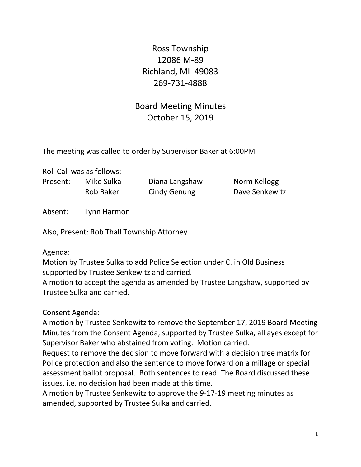Ross Township 12086 M-89 Richland, MI 49083 269-731-4888

Board Meeting Minutes October 15, 2019

The meeting was called to order by Supervisor Baker at 6:00PM

Roll Call was as follows: Present: Mike Sulka Diana Langshaw Norm Kellogg

Rob Baker Cindy Genung Dave Senkewitz

Absent: Lynn Harmon

Also, Present: Rob Thall Township Attorney

Agenda:

Motion by Trustee Sulka to add Police Selection under C. in Old Business supported by Trustee Senkewitz and carried.

A motion to accept the agenda as amended by Trustee Langshaw, supported by Trustee Sulka and carried.

Consent Agenda:

A motion by Trustee Senkewitz to remove the September 17, 2019 Board Meeting Minutes from the Consent Agenda, supported by Trustee Sulka, all ayes except for Supervisor Baker who abstained from voting. Motion carried.

Request to remove the decision to move forward with a decision tree matrix for Police protection and also the sentence to move forward on a millage or special assessment ballot proposal. Both sentences to read: The Board discussed these issues, i.e. no decision had been made at this time.

A motion by Trustee Senkewitz to approve the 9-17-19 meeting minutes as amended, supported by Trustee Sulka and carried.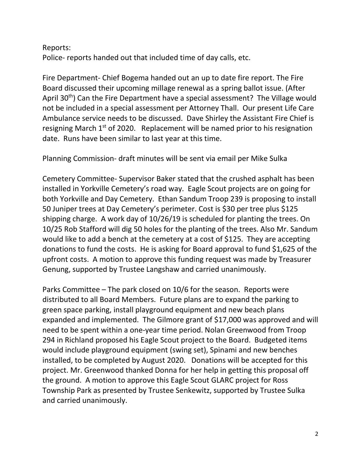#### Reports:

Police- reports handed out that included time of day calls, etc.

Fire Department- Chief Bogema handed out an up to date fire report. The Fire Board discussed their upcoming millage renewal as a spring ballot issue. (After April 30<sup>th</sup>) Can the Fire Department have a special assessment? The Village would not be included in a special assessment per Attorney Thall. Our present Life Care Ambulance service needs to be discussed. Dave Shirley the Assistant Fire Chief is resigning March 1<sup>st</sup> of 2020. Replacement will be named prior to his resignation date. Runs have been similar to last year at this time.

Planning Commission- draft minutes will be sent via email per Mike Sulka

Cemetery Committee- Supervisor Baker stated that the crushed asphalt has been installed in Yorkville Cemetery's road way. Eagle Scout projects are on going for both Yorkville and Day Cemetery. Ethan Sandum Troop 239 is proposing to install 50 Juniper trees at Day Cemetery's perimeter. Cost is \$30 per tree plus \$125 shipping charge. A work day of 10/26/19 is scheduled for planting the trees. On 10/25 Rob Stafford will dig 50 holes for the planting of the trees. Also Mr. Sandum would like to add a bench at the cemetery at a cost of \$125. They are accepting donations to fund the costs. He is asking for Board approval to fund \$1,625 of the upfront costs. A motion to approve this funding request was made by Treasurer Genung, supported by Trustee Langshaw and carried unanimously.

Parks Committee – The park closed on 10/6 for the season. Reports were distributed to all Board Members. Future plans are to expand the parking to green space parking, install playground equipment and new beach plans expanded and implemented. The Gilmore grant of \$17,000 was approved and will need to be spent within a one-year time period. Nolan Greenwood from Troop 294 in Richland proposed his Eagle Scout project to the Board. Budgeted items would include playground equipment (swing set), Spinami and new benches installed, to be completed by August 2020. Donations will be accepted for this project. Mr. Greenwood thanked Donna for her help in getting this proposal off the ground. A motion to approve this Eagle Scout GLARC project for Ross Township Park as presented by Trustee Senkewitz, supported by Trustee Sulka and carried unanimously.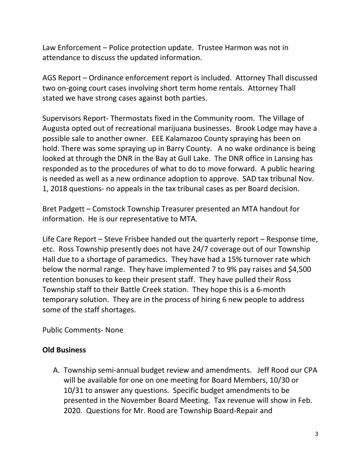Law Enforcement – Police protection update. Trustee Harmon was not in attendance to discuss the updated information.

AGS Report – Ordinance enforcement report is included. Attorney Thall discussed two on-going court cases involving short term home rentals. Attorney Thall stated we have strong cases against both parties.

Supervisors Report- Thermostats fixed in the Community room. The Village of Augusta opted out of recreational marijuana businesses. Brook Lodge may have a possible sale to another owner. EEE Kalamazoo County spraying has been on hold. There was some spraying up in Barry County. A no wake ordinance is being looked at through the DNR in the Bay at Gull Lake. The DNR office in Lansing has responded as to the procedures of what to do to move forward. A public hearing is needed as well as a new ordinance adoption to approve. SAD tax tribunal Nov. 1, 2018 questions- no appeals in the tax tribunal cases as per Board decision.

Bret Padgett – Comstock Township Treasurer presented an MTA handout for information. He is our representative to MTA.

Life Care Report – Steve Frisbee handed out the quarterly report – Response time, etc. Ross Township presently does not have 24/7 coverage out of our Township Hall due to a shortage of paramedics. They have had a 15% turnover rate which below the normal range. They have implemented 7 to 9% pay raises and \$4,500 retention bonuses to keep their present staff. They have pulled their Ross Township staff to their Battle Creek station. They hope this is a 6-month temporary solution. They are in the process of hiring 6 new people to address some of the staff shortages.

Public Comments- None

## **Old Business**

A. Township semi-annual budget review and amendments. Jeff Rood our CPA will be available for one on one meeting for Board Members, 10/30 or 10/31 to answer any questions. Specific budget amendments to be presented in the November Board Meeting. Tax revenue will show in Feb. 2020. Questions for Mr. Rood are Township Board-Repair and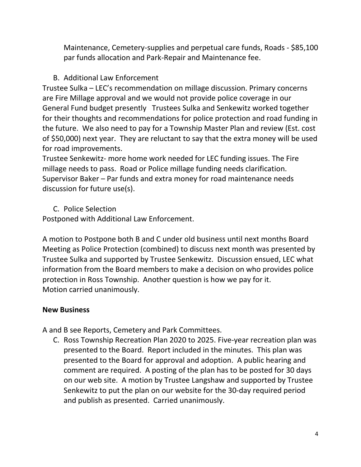Maintenance, Cemetery-supplies and perpetual care funds, Roads - \$85,100 par funds allocation and Park-Repair and Maintenance fee.

# B. Additional Law Enforcement

Trustee Sulka – LEC's recommendation on millage discussion. Primary concerns are Fire Millage approval and we would not provide police coverage in our General Fund budget presently Trustees Sulka and Senkewitz worked together for their thoughts and recommendations for police protection and road funding in the future. We also need to pay for a Township Master Plan and review (Est. cost of \$50,000) next year. They are reluctant to say that the extra money will be used for road improvements.

Trustee Senkewitz- more home work needed for LEC funding issues. The Fire millage needs to pass. Road or Police millage funding needs clarification. Supervisor Baker – Par funds and extra money for road maintenance needs discussion for future use(s).

## C. Police Selection

Postponed with Additional Law Enforcement.

A motion to Postpone both B and C under old business until next months Board Meeting as Police Protection (combined) to discuss next month was presented by Trustee Sulka and supported by Trustee Senkewitz. Discussion ensued, LEC what information from the Board members to make a decision on who provides police protection in Ross Township. Another question is how we pay for it. Motion carried unanimously.

## **New Business**

A and B see Reports, Cemetery and Park Committees.

C. Ross Township Recreation Plan 2020 to 2025. Five-year recreation plan was presented to the Board. Report included in the minutes. This plan was presented to the Board for approval and adoption. A public hearing and comment are required. A posting of the plan has to be posted for 30 days on our web site. A motion by Trustee Langshaw and supported by Trustee Senkewitz to put the plan on our website for the 30-day required period and publish as presented. Carried unanimously.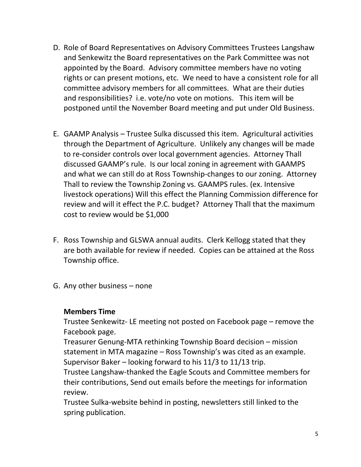- D. Role of Board Representatives on Advisory Committees Trustees Langshaw and Senkewitz the Board representatives on the Park Committee was not appointed by the Board. Advisory committee members have no voting rights or can present motions, etc. We need to have a consistent role for all committee advisory members for all committees. What are their duties and responsibilities? i.e. vote/no vote on motions. This item will be postponed until the November Board meeting and put under Old Business.
- E. GAAMP Analysis Trustee Sulka discussed this item. Agricultural activities through the Department of Agriculture. Unlikely any changes will be made to re-consider controls over local government agencies. Attorney Thall discussed GAAMP's rule. Is our local zoning in agreement with GAAMPS and what we can still do at Ross Township-changes to our zoning. Attorney Thall to review the Township Zoning vs. GAAMPS rules. (ex. Intensive livestock operations) Will this effect the Planning Commission difference for review and will it effect the P.C. budget? Attorney Thall that the maximum cost to review would be \$1,000
- F. Ross Township and GLSWA annual audits. Clerk Kellogg stated that they are both available for review if needed. Copies can be attained at the Ross Township office.
- G. Any other business none

#### **Members Time**

Trustee Senkewitz- LE meeting not posted on Facebook page – remove the Facebook page.

Treasurer Genung-MTA rethinking Township Board decision – mission statement in MTA magazine – Ross Township's was cited as an example. Supervisor Baker – looking forward to his 11/3 to 11/13 trip.

Trustee Langshaw-thanked the Eagle Scouts and Committee members for their contributions, Send out emails before the meetings for information review.

Trustee Sulka-website behind in posting, newsletters still linked to the spring publication.